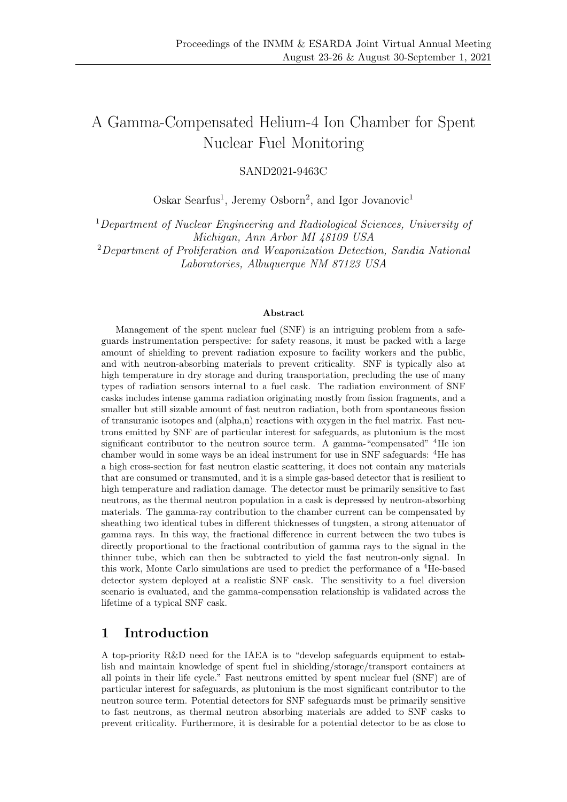# A Gamma-Compensated Helium-4 Ion Chamber for Spent Nuclear Fuel Monitoring

SAND2021-9463C

Oskar Searfus<sup>1</sup>, Jeremy Osborn<sup>2</sup>, and Igor Jovanovic<sup>1</sup>

<sup>1</sup>Department of Nuclear Engineering and Radiological Sciences, University of Michigan, Ann Arbor MI 48109 USA <sup>2</sup>Department of Proliferation and Weaponization Detection, Sandia National

Laboratories, Albuquerque NM 87123 USA

#### Abstract

Management of the spent nuclear fuel (SNF) is an intriguing problem from a safeguards instrumentation perspective: for safety reasons, it must be packed with a large amount of shielding to prevent radiation exposure to facility workers and the public, and with neutron-absorbing materials to prevent criticality. SNF is typically also at high temperature in dry storage and during transportation, precluding the use of many types of radiation sensors internal to a fuel cask. The radiation environment of SNF casks includes intense gamma radiation originating mostly from fission fragments, and a smaller but still sizable amount of fast neutron radiation, both from spontaneous fission of transuranic isotopes and (alpha,n) reactions with oxygen in the fuel matrix. Fast neutrons emitted by SNF are of particular interest for safeguards, as plutonium is the most significant contributor to the neutron source term. A gamma-"compensated" <sup>4</sup>He ion chamber would in some ways be an ideal instrument for use in SNF safeguards: <sup>4</sup>He has a high cross-section for fast neutron elastic scattering, it does not contain any materials that are consumed or transmuted, and it is a simple gas-based detector that is resilient to high temperature and radiation damage. The detector must be primarily sensitive to fast neutrons, as the thermal neutron population in a cask is depressed by neutron-absorbing materials. The gamma-ray contribution to the chamber current can be compensated by sheathing two identical tubes in different thicknesses of tungsten, a strong attenuator of gamma rays. In this way, the fractional difference in current between the two tubes is directly proportional to the fractional contribution of gamma rays to the signal in the thinner tube, which can then be subtracted to yield the fast neutron-only signal. In this work, Monte Carlo simulations are used to predict the performance of a <sup>4</sup>He-based detector system deployed at a realistic SNF cask. The sensitivity to a fuel diversion scenario is evaluated, and the gamma-compensation relationship is validated across the lifetime of a typical SNF cask.

#### 1 Introduction

A top-priority R&D need for the IAEA is to "develop safeguards equipment to establish and maintain knowledge of spent fuel in shielding/storage/transport containers at all points in their life cycle." Fast neutrons emitted by spent nuclear fuel (SNF) are of particular interest for safeguards, as plutonium is the most significant contributor to the neutron source term. Potential detectors for SNF safeguards must be primarily sensitive to fast neutrons, as thermal neutron absorbing materials are added to SNF casks to prevent criticality. Furthermore, it is desirable for a potential detector to be as close to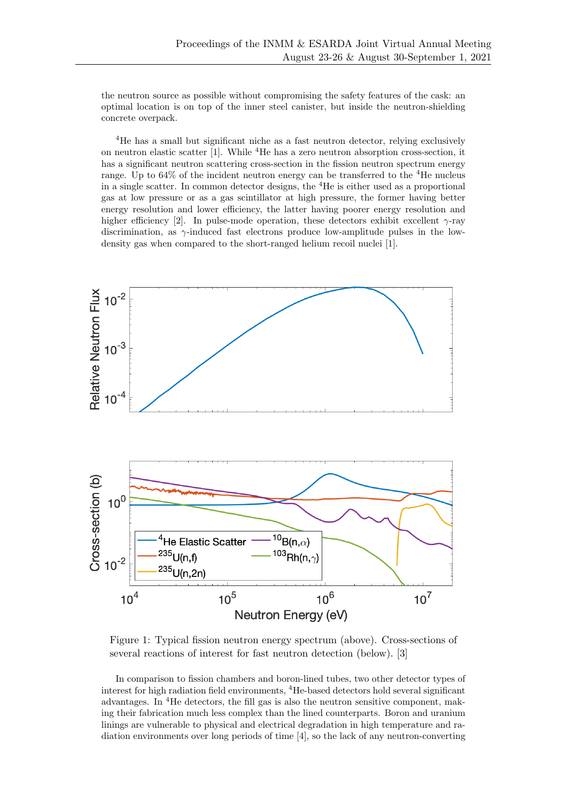the neutron source as possible without compromising the safety features of the cask: an optimal location is on top of the inner steel canister, but inside the neutron-shielding concrete overpack.

<sup>4</sup>He has a small but significant niche as a fast neutron detector, relying exclusively on neutron elastic scatter [1]. While <sup>4</sup>He has a zero neutron absorption cross-section, it has a significant neutron scattering cross-section in the fission neutron spectrum energy range. Up to  $64\%$  of the incident neutron energy can be transferred to the  $4$ He nucleus in a single scatter. In common detector designs, the <sup>4</sup>He is either used as a proportional gas at low pressure or as a gas scintillator at high pressure, the former having better energy resolution and lower efficiency, the latter having poorer energy resolution and higher efficiency [2]. In pulse-mode operation, these detectors exhibit excellent  $\gamma$ -ray discrimination, as  $\gamma$ -induced fast electrons produce low-amplitude pulses in the lowdensity gas when compared to the short-ranged helium recoil nuclei [1].



Figure 1: Typical fission neutron energy spectrum (above). Cross-sections of several reactions of interest for fast neutron detection (below). [3]

In comparison to fission chambers and boron-lined tubes, two other detector types of interest for high radiation field environments, <sup>4</sup>He-based detectors hold several significant advantages. In <sup>4</sup>He detectors, the fill gas is also the neutron sensitive component, making their fabrication much less complex than the lined counterparts. Boron and uranium linings are vulnerable to physical and electrical degradation in high temperature and radiation environments over long periods of time [4], so the lack of any neutron-converting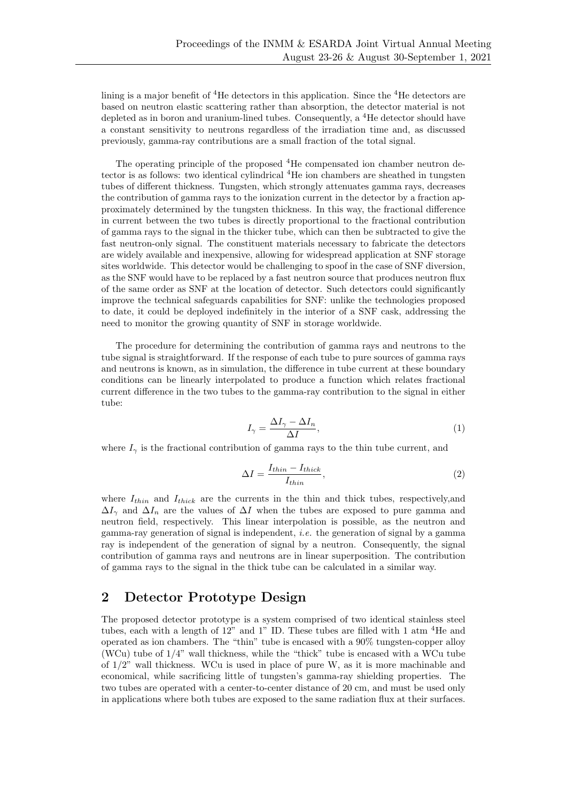lining is a major benefit of  ${}^{4}$ He detectors in this application. Since the  ${}^{4}$ He detectors are based on neutron elastic scattering rather than absorption, the detector material is not depleted as in boron and uranium-lined tubes. Consequently, a <sup>4</sup>He detector should have a constant sensitivity to neutrons regardless of the irradiation time and, as discussed previously, gamma-ray contributions are a small fraction of the total signal.

The operating principle of the proposed <sup>4</sup>He compensated ion chamber neutron detector is as follows: two identical cylindrical <sup>4</sup>He ion chambers are sheathed in tungsten tubes of different thickness. Tungsten, which strongly attenuates gamma rays, decreases the contribution of gamma rays to the ionization current in the detector by a fraction approximately determined by the tungsten thickness. In this way, the fractional difference in current between the two tubes is directly proportional to the fractional contribution of gamma rays to the signal in the thicker tube, which can then be subtracted to give the fast neutron-only signal. The constituent materials necessary to fabricate the detectors are widely available and inexpensive, allowing for widespread application at SNF storage sites worldwide. This detector would be challenging to spoof in the case of SNF diversion, as the SNF would have to be replaced by a fast neutron source that produces neutron flux of the same order as SNF at the location of detector. Such detectors could significantly improve the technical safeguards capabilities for SNF: unlike the technologies proposed to date, it could be deployed indefinitely in the interior of a SNF cask, addressing the need to monitor the growing quantity of SNF in storage worldwide.

The procedure for determining the contribution of gamma rays and neutrons to the tube signal is straightforward. If the response of each tube to pure sources of gamma rays and neutrons is known, as in simulation, the difference in tube current at these boundary conditions can be linearly interpolated to produce a function which relates fractional current difference in the two tubes to the gamma-ray contribution to the signal in either tube:

$$
I_{\gamma} = \frac{\Delta I_{\gamma} - \Delta I_n}{\Delta I},\tag{1}
$$

where  $I_{\gamma}$  is the fractional contribution of gamma rays to the thin tube current, and

$$
\Delta I = \frac{I_{thin} - I_{thick}}{I_{thin}},\tag{2}
$$

where  $I_{thin}$  and  $I_{thick}$  are the currents in the thin and thick tubes, respectively, and  $\Delta I_{\gamma}$  and  $\Delta I_n$  are the values of  $\Delta I$  when the tubes are exposed to pure gamma and neutron field, respectively. This linear interpolation is possible, as the neutron and gamma-ray generation of signal is independent, i.e. the generation of signal by a gamma ray is independent of the generation of signal by a neutron. Consequently, the signal contribution of gamma rays and neutrons are in linear superposition. The contribution of gamma rays to the signal in the thick tube can be calculated in a similar way.

#### 2 Detector Prototype Design

The proposed detector prototype is a system comprised of two identical stainless steel tubes, each with a length of 12" and 1" ID. These tubes are filled with 1 atm <sup>4</sup>He and operated as ion chambers. The "thin" tube is encased with a 90% tungsten-copper alloy (WCu) tube of 1/4" wall thickness, while the "thick" tube is encased with a WCu tube of 1/2" wall thickness. WCu is used in place of pure W, as it is more machinable and economical, while sacrificing little of tungsten's gamma-ray shielding properties. The two tubes are operated with a center-to-center distance of 20 cm, and must be used only in applications where both tubes are exposed to the same radiation flux at their surfaces.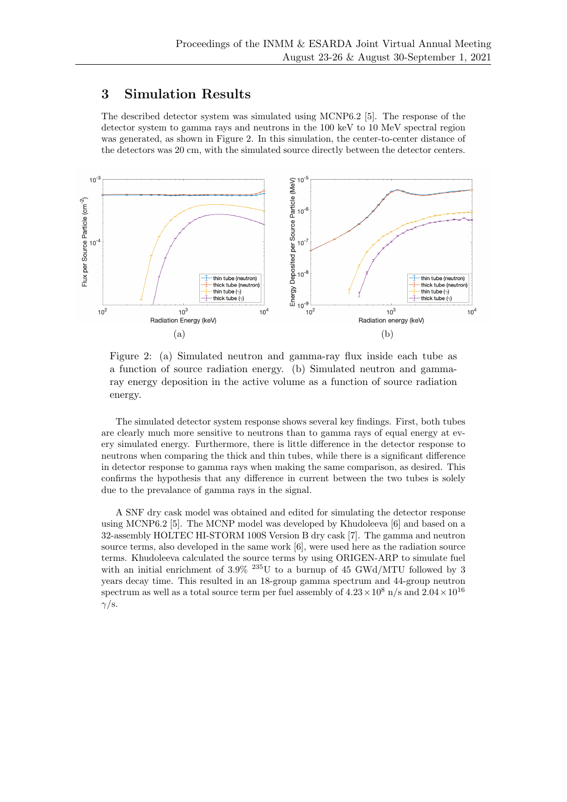### 3 Simulation Results

The described detector system was simulated using MCNP6.2 [5]. The response of the detector system to gamma rays and neutrons in the 100 keV to 10 MeV spectral region was generated, as shown in Figure 2. In this simulation, the center-to-center distance of the detectors was 20 cm, with the simulated source directly between the detector centers.



Figure 2: (a) Simulated neutron and gamma-ray flux inside each tube as a function of source radiation energy. (b) Simulated neutron and gammaray energy deposition in the active volume as a function of source radiation energy.

The simulated detector system response shows several key findings. First, both tubes are clearly much more sensitive to neutrons than to gamma rays of equal energy at every simulated energy. Furthermore, there is little difference in the detector response to neutrons when comparing the thick and thin tubes, while there is a significant difference in detector response to gamma rays when making the same comparison, as desired. This confirms the hypothesis that any difference in current between the two tubes is solely due to the prevalance of gamma rays in the signal.

A SNF dry cask model was obtained and edited for simulating the detector response using MCNP6.2 [5]. The MCNP model was developed by Khudoleeva [6] and based on a 32-assembly HOLTEC HI-STORM 100S Version B dry cask [7]. The gamma and neutron source terms, also developed in the same work [6], were used here as the radiation source terms. Khudoleeva calculated the source terms by using ORIGEN-ARP to simulate fuel with an initial enrichment of  $3.9\%$  <sup>235</sup>U to a burnup of 45 GWd/MTU followed by 3 years decay time. This resulted in an 18-group gamma spectrum and 44-group neutron spectrum as well as a total source term per fuel assembly of  $4.23 \times 10^8$  n/s and  $2.04 \times 10^{16}$  $\gamma$ /s.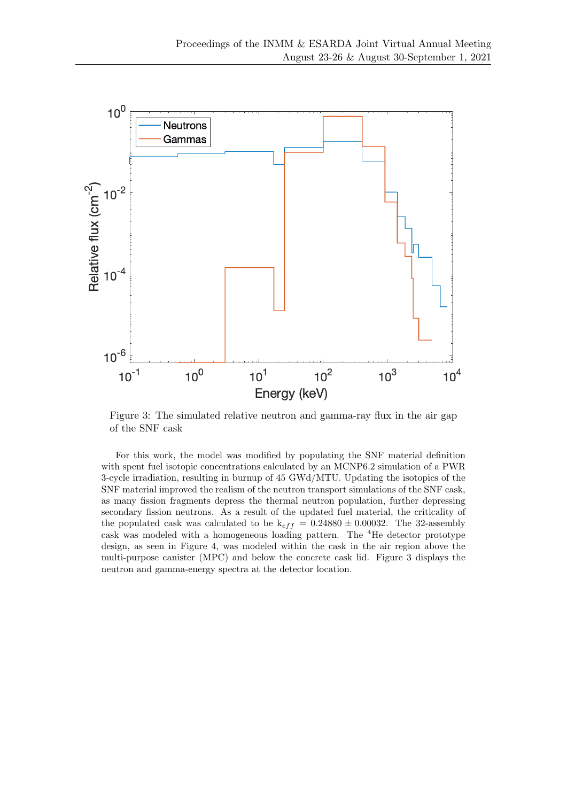

Figure 3: The simulated relative neutron and gamma-ray flux in the air gap of the SNF cask

For this work, the model was modified by populating the SNF material definition with spent fuel isotopic concentrations calculated by an MCNP6.2 simulation of a PWR 3-cycle irradiation, resulting in burnup of 45 GWd/MTU. Updating the isotopics of the SNF material improved the realism of the neutron transport simulations of the SNF cask, as many fission fragments depress the thermal neutron population, further depressing secondary fission neutrons. As a result of the updated fuel material, the criticality of the populated cask was calculated to be  $k_{eff} = 0.24880 \pm 0.00032$ . The 32-assembly cask was modeled with a homogeneous loading pattern. The <sup>4</sup>He detector prototype design, as seen in Figure 4, was modeled within the cask in the air region above the multi-purpose canister (MPC) and below the concrete cask lid. Figure 3 displays the neutron and gamma-energy spectra at the detector location.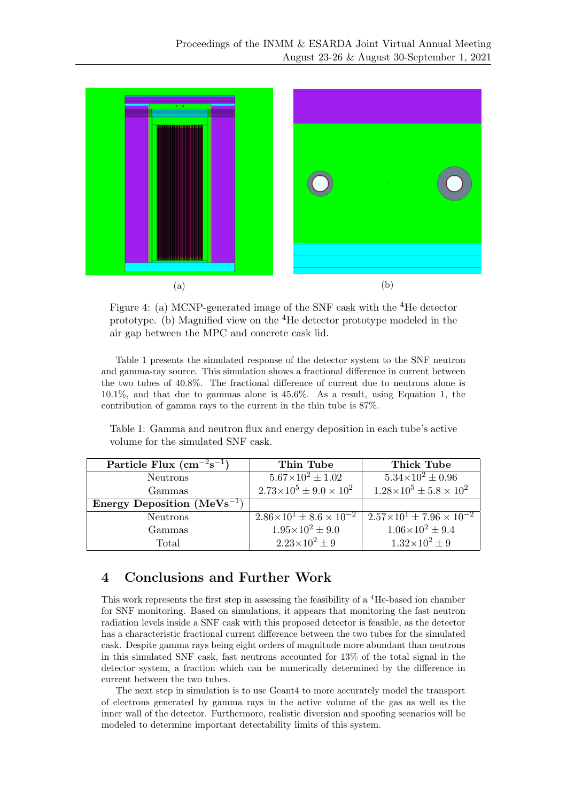

Figure 4: (a) MCNP-generated image of the SNF cask with the  ${}^{4}$ He detector prototype. (b) Magnified view on the <sup>4</sup>He detector prototype modeled in the air gap between the MPC and concrete cask lid.

Table 1 presents the simulated response of the detector system to the SNF neutron and gamma-ray source. This simulation shows a fractional difference in current between the two tubes of 40.8%. The fractional difference of current due to neutrons alone is 10.1%, and that due to gammas alone is 45.6%. As a result, using Equation 1, the contribution of gamma rays to the current in the thin tube is 87%.

Table 1: Gamma and neutron flux and energy deposition in each tube's active volume for the simulated SNF cask.

| Particle Flux $\rm (cm^{-2}s^{-1})$ | Thin Tube                               | Thick Tube                               |
|-------------------------------------|-----------------------------------------|------------------------------------------|
| <b>Neutrons</b>                     | $5.67\times10^{2} \pm 1.02$             | $5.34 \times 10^2 \pm 0.96$              |
| Gammas                              | $2.73\times10^5 \pm 9.0\times10^2$      | $1.28\times10^5 \pm 5.8\times10^2$       |
| Energy Deposition $(MeVs^{-1})$     |                                         |                                          |
| Neutrons                            | $2.86\times10^{1} \pm 8.6\times10^{-2}$ | $1.57\times10^{1} \pm 7.96\times10^{-2}$ |
| Gammas                              | $1.95 \times 10^2 \pm 9.0$              | $1.06\times10^{2} \pm 9.4$               |
| Total                               | $2.23 \times 10^2 \pm 9$                | $1.32 \times 10^2 \pm 9$                 |

# 4 Conclusions and Further Work

This work represents the first step in assessing the feasibility of a <sup>4</sup>He-based ion chamber for SNF monitoring. Based on simulations, it appears that monitoring the fast neutron radiation levels inside a SNF cask with this proposed detector is feasible, as the detector has a characteristic fractional current difference between the two tubes for the simulated cask. Despite gamma rays being eight orders of magnitude more abundant than neutrons in this simulated SNF cask, fast neutrons accounted for 13% of the total signal in the detector system, a fraction which can be numerically determined by the difference in current between the two tubes.

The next step in simulation is to use Geant4 to more accurately model the transport of electrons generated by gamma rays in the active volume of the gas as well as the inner wall of the detector. Furthermore, realistic diversion and spoofing scenarios will be modeled to determine important detectability limits of this system.